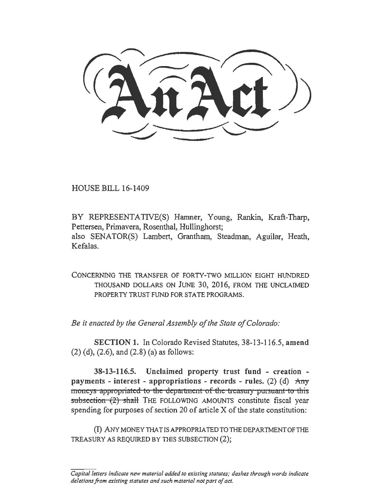HOUSE BILL 16-1409

BY REPRESENTATIVE(S) Hamner, Young, Rankin, Kraft-Tharp, Pettersen, Primavera, Rosenthal, Hullinghorst; also SENATOR(S) Lambert, Grantham, Steadman, Aguilar, Heath, Kefalas.

CONCERNING THE TRANSFER OF FORTY-TWO MlLLION EIGHT HUNDRED THOUSAND DOLLARS ON JUNE 30, 2016, FROM THE UNCLAIMED PROPERTY TRUST FUND FOR STATE PROGRAMS.

*Be it enacted by the General Assembly of the State of Colorado:* 

SECTION 1. In Colorado Revised Statutes, 38-13-116.5, amend (2) (d), (2.6), and (2.8) (a) as follows:

38-13-116.5. Unclaimed property trust fund - creation payments - interest - appropriations - records - rules. (2) (d)  $\text{Any}$ moneys appropriated to the department of the treasury-pursuant-to this subsection  $(2)$  shall THE FOLLOWING AMOUNTS constitute fiscal year spending for purposes of section 20 of article X of the state constitution:

(I) ANY MONEY THAT IS APPROPRIATED TO TIIB DEP ARTMENTOFTHE TREASURY AS REQUIRED BY THIS SUBSECTION (2);

*Capital letters indicate new material added to existing statutes; dashes through words indicate deletions from existing statutes and such material not part of act.*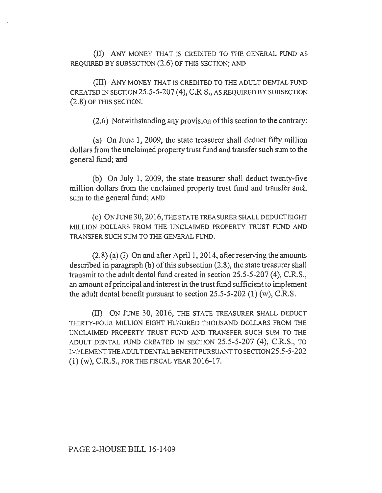(II) ANY MONEY THAT IS CREDITED TO THE GENERAL FUND AS REQUIRED BY SUBSECTION (2.6) OF THIS SECTION; AND

(III) ANY MONEY THAT IS CREDITED TO THE ADULT DENTAL FUND CREATED IN SECTION 25.5-5-207 (4), C.R.S., AS REQUIRED BY SUBSECTION (2.8) OF THIS SECTION.

(2.6) Notwithstanding any provision of this section to the contrary:

(a) On June 1, 2009, the state treasurer shall deduct fifty million dollars from the unclaimed property trust fund and transfer such sum to the general fund; and

(b) On July 1, 2009, the state treasurer shall deduct twenty-five million dollars from the unclaimed property trust fund and transfer such sum to the general fund; AND

( c) ON JUNE 30, 2016, THE STA TE TREASURER SHALL DEDUCT EIGHT MILLION DOLLARS FROM THE UNCLAIMED PROPERTY TRUST FUND AND TRANSFER SUCH SUM TO THE GENERAL FUND.

(2.8) (a) (I) On and after April I, 2014, after reserving the amounts described in paragraph (b) of this subsection (2.8), the state treasurer shall transmit to the adult dental fund created in section 25.5-5-207 (4), C.R.S., an amount of principal and interest in the trust fund sufficient to implement the adult dental benefit pursuant to section 25.5-5-202 (1) (w), C.R.S.

(II) ON JUNE 30, 2016, THE STATE TREASURER SHALL DEDUCT THIRTY-FOUR MILLION EIGHT HUNDRED THOUSAND DOLLARS FROM THE UNCLAIMED PROPERTY TRUST FUND AND TRANSFER SUCH SUM TO THE ADULT DENTAL FUND CREATED IN SECTION 25.5-5-207 (4), C.R.S., TO IMPLEMENTTHEADULTDENTALBENEFITPURSUANTTOSECTION25.5-5-202  $(1)$  (w), C.R.S., FOR THE FISCAL YEAR 2016-17.